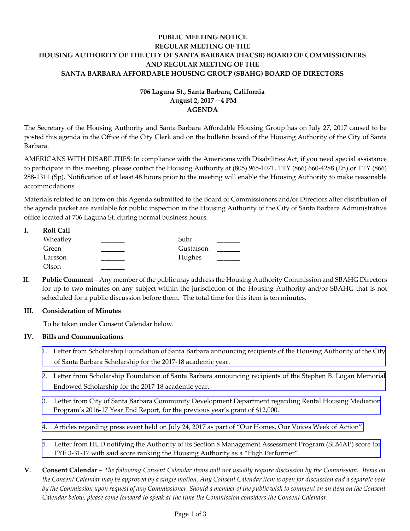# **PUBLIC MEETING NOTICE REGULAR MEETING OF THE HOUSING AUTHORITY OF THE CITY OF SANTA BARBARA (HACSB) BOARD OF COMMISSIONERS AND REGULAR MEETING OF THE SANTA BARBARA AFFORDABLE HOUSING GROUP (SBAHG) BOARD OF DIRECTORS**

# **706 Laguna St., Santa Barbara, California August 2, 2017—4 PM AGENDA**

The Secretary of the Housing Authority and Santa Barbara Affordable Housing Group has on July 27, 2017 caused to be posted this agenda in the Office of the City Clerk and on the bulletin board of the Housing Authority of the City of Santa Barbara.

AMERICANS WITH DISABILITIES: In compliance with the Americans with Disabilities Act, if you need special assistance to participate in this meeting, please contact the Housing Authority at (805) 965‐1071, TTY (866) 660‐4288 (En) or TTY (866) 288‐1311 (Sp). Notification of at least 48 hours prior to the meeting will enable the Housing Authority to make reasonable accommodations.

Materials related to an item on this Agenda submitted to the Board of Commissioners and/or Directors after distribution of the agenda packet are available for public inspection in the Housing Authority of the City of Santa Barbara Administrative office located at 706 Laguna St. during normal business hours.

| <b>Roll Call</b> |           |  |
|------------------|-----------|--|
| Wheatley         | Suhr      |  |
| Green            | Gustafson |  |
| Larsson          | Hughes    |  |
| Olson            |           |  |
|                  |           |  |

**II. Public Comment** – Any member of the public may address the Housing Authority Commission and SBAHG Directors for up to two minutes on any subject within the jurisdiction of the Housing Authority and/or SBAHG that is not scheduled for a public discussion before them. The total time for this item is ten minutes.

## **III. Consideration of Minutes**

To be taken under Consent Calendar below.

# **IV. Bills and Communications**

- 1. Letter from Scholarship Foundation of Santa Barbara [announcing](http://hacsb.org/download/meetings_2017/items/08_august/item_IV_I_2017_08_02.pdf) recipients of the Housing Authority of the City of Santa Barbara Scholarship for the 2017‐18 academic year.
- 2. Letter from Scholarship Foundation of Santa Barbara [announcing](http://hacsb.org/download/meetings_2017/items/08_august/item_IV_II_2017_08_02.pdf) recipients of the Stephen B. Logan Memorial Endowed Scholarship for the 2017‐18 academic year.
- 3. Letter from City of Santa Barbara Community [Development](http://hacsb.org/download/meetings_2017/items/08_august/item_IV_III_2017_08_02.pdf) Department regarding Rental Housing Mediation Program's 2016‐17 Year End Report, for the previous year's grant of \$12,000.
- 4. Articles [regarding](http://hacsb.org/download/meetings_2017/items/08_august/item_IV_IV_2017_08_02.pdf) press event held on July 24, 2017 as part of "Our Homes, Our Voices Week of Action".
- 5. Letter from HUD notifying the Authority of its Section 8 [Management](http://hacsb.org/download/meetings_2017/items/08_august/item_IV_V_2017_08_02.pdf) Assessment Program (SEMAP) score for FYE 3-31-17 with said score ranking the Housing Authority as a "High Performer".
- V. Consent Calendar The following Consent Calendar items will not usually require discussion by the Commission. Items on the Consent Calendar may be approved by a single motion. Any Consent Calendar item is open for discussion and a separate vote by the Commission upon request of any Commissioner. Should a member of the public wish to comment on an item on the Consent *Calendar below, please come forward to speak at the time the Commission considers the Consent Calendar.*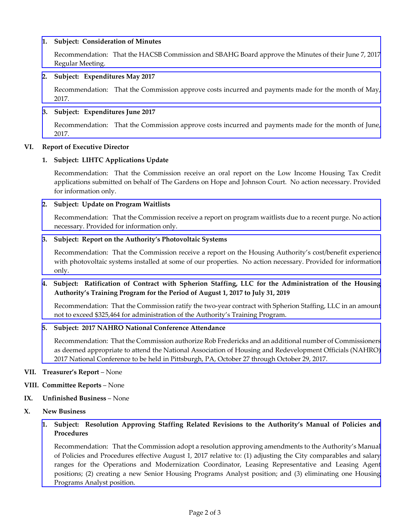### **1. Subject: Consideration of Minutes**

[Recommendation:](http://hacsb.org/download/meetings_2017/items/08_august/item_V_I_2017_08_02.pdf) That the HACSB Commission and SBAHG Board approve the Minutes of their June 7, 2017 Regular Meeting.

#### **2. Subject: Expenditures May 2017**

[Recommendation:](http://hacsb.org/download/meetings_2017/items/08_august/item_V_II_2017_08_02.pdf) That the Commission approve costs incurred and payments made for the month of May, 2017.

## **3. Subject: Expenditures June 2017**

[Recommendation:](http://hacsb.org/download/meetings_2017/items/08_august/item_V_III_2017_08_02.pdf) That the Commission approve costs incurred and payments made for the month of June, 2017.

### **VI. Report of Executive Director**

## **1. Subject: LIHTC Applications Update**

Recommendation: That the Commission receive an oral report on the Low Income Housing Tax Credit applications submitted on behalf of The Gardens on Hope and Johnson Court. No action necessary. Provided for information only.

### **2. Subject: Update on Program Waitlists**

[Recommendation:](http://hacsb.org/download/meetings_2017/items/08_august/item_VI_II_2017_08_02.pdf) That the Commission receive a report on program waitlists due to a recent purge. No action necessary. Provided for information only.

### **3. Subject: Report on the Authority's Photovoltaic Systems**

[Recommendation:](http://hacsb.org/download/meetings_2017/items/08_august/item_VI_III_2017_08_02.pdf) That the Commission receive a report on the Housing Authority's cost/benefit experience with photovoltaic systems installed at some of our properties. No action necessary. Provided for information only.

## 4. Subject: Ratification of Contract with Spherion Staffing, LLC for the Administration of the Housing **Authority's Training Program for the Period of August 1, 2017 to July 31, 2019**

[Recommendation:](http://hacsb.org/download/meetings_2017/items/08_august/item_VI_IV_2017_08_02.pdf) That the Commission ratify the two‐year contract with Spherion Staffing, LLC in an amount not to exceed \$325,464 for administration of the Authority's Training Program.

#### **5. Subject: 2017 NAHRO National Conference Attendance**

[Recommendation:](http://hacsb.org/download/meetings_2017/items/08_august/item_VI_V_2017_08_02.pdf) That the Commission authorize Rob Fredericks and an additional number of Commissioners as deemed appropriate to attend the National Association of Housing and Redevelopment Officials (NAHRO) 2017 National Conference to be held in Pittsburgh, PA, October 27 through October 29, 2017.

#### **VII. Treasurer's Report** – None

## **VIII. Committee Reports** – None

#### **IX. Unfinished Business** – None

**X. New Business** 

## **1. Subject: Resolution Approving Staffing Related Revisions to the Authority's Manual of Policies and Procedures**

[Recommendation:](http://hacsb.org/download/meetings_2017/items/08_august/item_X_I_2017_08_02.pdf) That the Commission adopt a resolution approving amendments to the Authority's Manual of Policies and Procedures effective August 1, 2017 relative to: (1) adjusting the City comparables and salary ranges for the Operations and Modernization Coordinator, Leasing Representative and Leasing Agent positions; (2) creating a new Senior Housing Programs Analyst position; and (3) eliminating one Housing Programs Analyst position.